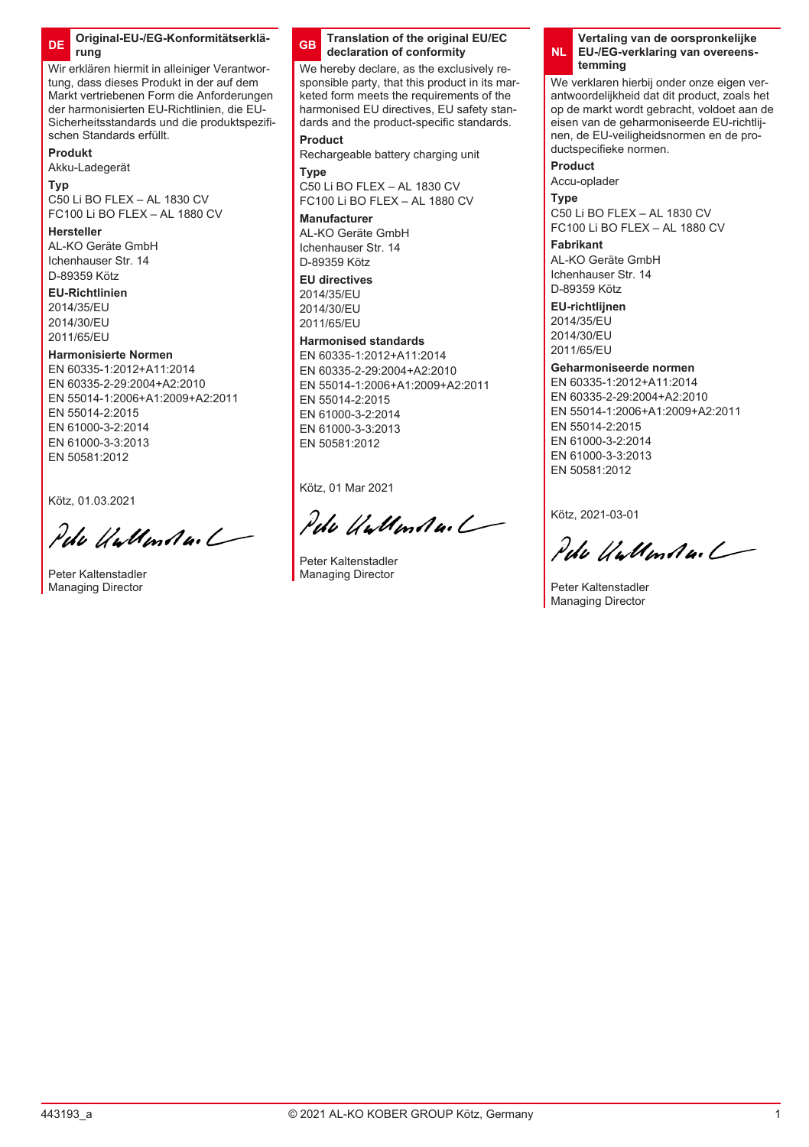# **DE Original-EU-/EG-Konformitätserklärung**

Wir erklären hiermit in alleiniger Verantwortung, dass dieses Produkt in der auf dem Markt vertriebenen Form die Anforderungen der harmonisierten EU-Richtlinien, die EU-Sicherheitsstandards und die produktspezifischen Standards erfüllt.

**Produkt**

Akku-Ladegerät

**Typ** C50 Li BO FLEX – AL 1830 CV FC100 Li BO FLEX – AL 1880 CV

#### **Hersteller**

AL-KO Geräte GmbH Ichenhauser Str. 14 D-89359 Kötz

# **EU-Richtlinien**

2014/35/EU 2014/30/EU 2011/65/EU

# **Harmonisierte Normen**

EN 60335-1:2012+A11:2014 EN 60335-2-29:2004+A2:2010 EN 55014-1:2006+A1:2009+A2:2011 EN 55014-2:2015 EN 61000-3-2:2014 EN 61000-3-3:2013 EN 50581:2012

Kötz, 01.03.2021

Pete Untenduit

Peter Kaltenstadler Managing Director

#### **GB Translation of the original EU/EC declaration of conformity**

We hereby declare, as the exclusively responsible party, that this product in its marketed form meets the requirements of the harmonised EU directives, EU safety standards and the product-specific standards.

# **Product**

Rechargeable battery charging unit **Type**

C50 Li BO FLEX – AL 1830 CV FC100 Li BO FLEX – AL 1880 CV

#### **Manufacturer**

AL-KO Geräte GmbH Ichenhauser Str. 14 D-89359 Kötz

#### **EU directives**

2014/35/EU 2014/30/EU 2011/65/EU

# **Harmonised standards**

EN 60335-1:2012+A11:2014 EN 60335-2-29:2004+A2:2010 EN 55014-1:2006+A1:2009+A2:2011 EN 55014-2:2015 EN 61000-3-2:2014 EN 61000-3-3:2013 EN 50581:2012

Kötz, 01 Mar 2021

Pelo UnMental

Peter Kaltenstadler Managing Director

#### **NL Vertaling van de oorspronkelijke EU-/EG-verklaring van overeenstemming**

We verklaren hierbij onder onze eigen verantwoordelijkheid dat dit product, zoals het op de markt wordt gebracht, voldoet aan de eisen van de geharmoniseerde EU-richtlijnen, de EU-veiligheidsnormen en de productspecifieke normen.

# **Product**

Accu-oplader

**Type** C50 Li BO FLEX – AL 1830 CV FC100 Li BO FLEX – AL 1880 CV

# **Fabrikant**

AL-KO Geräte GmbH Ichenhauser Str. 14 D-89359 Kötz

#### **EU-richtlijnen** 2014/35/EU 2014/30/EU 2011/65/EU

# **Geharmoniseerde normen**

EN 60335-1:2012+A11:2014 EN 60335-2-29:2004+A2:2010 EN 55014-1:2006+A1:2009+A2:2011 EN 55014-2:2015 EN 61000-3-2:2014 EN 61000-3-3:2013 EN 50581:2012

Pete UnMenda, L

Peter Kaltenstadler Managing Director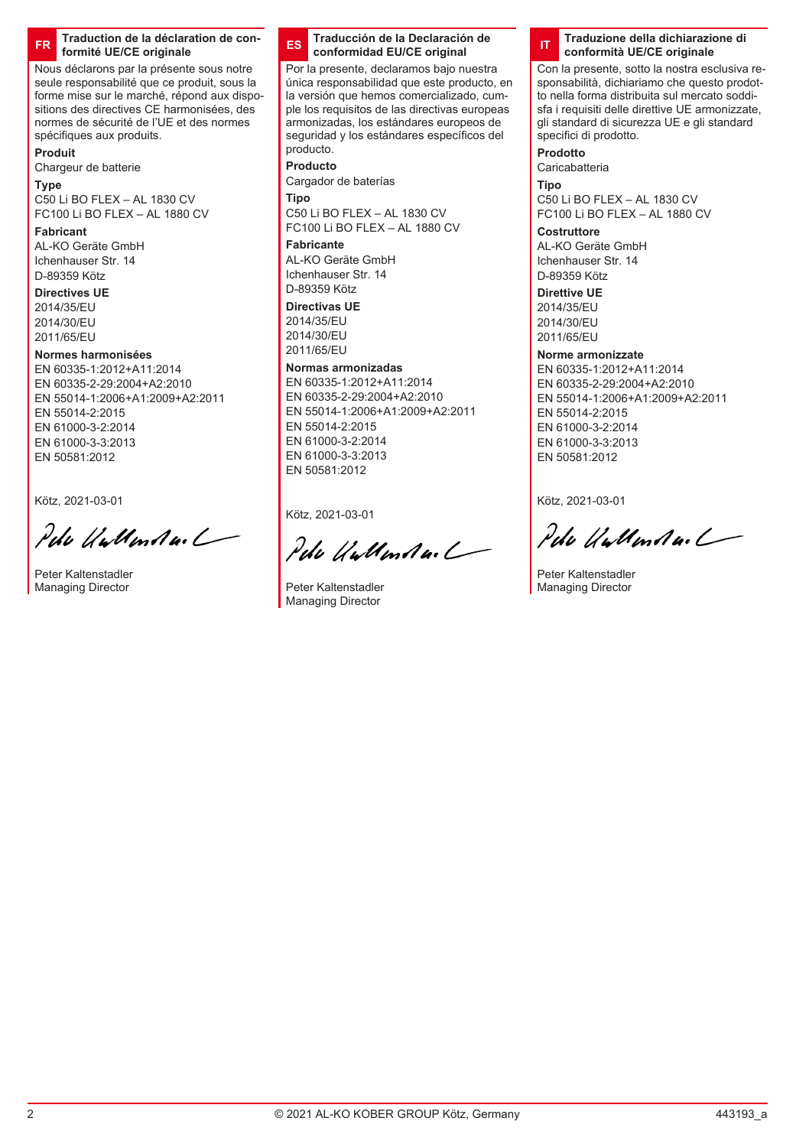#### **FR Traduction de la déclaration de conformité UE/CE originale**

Nous déclarons par la présente sous notre seule responsabilité que ce produit, sous la forme mise sur le marché, répond aux dispositions des directives CE harmonisées, des normes de sécurité de l'UE et des normes spécifiques aux produits.

# **Produit**

Chargeur de batterie

# **Type**

C50 Li BO FLEX – AL 1830 CV FC100 Li BO FLEX – AL 1880 CV

# **Fabricant**

AL-KO Geräte GmbH Ichenhauser Str. 14 D-89359 Kötz

#### **Directives UE** 2014/35/EU

2014/30/EU 2011/65/EU

# **Normes harmonisées**

EN 60335-1:2012+A11:2014 EN 60335-2-29:2004+A2:2010 EN 55014-1:2006+A1:2009+A2:2011 EN 55014-2:2015 EN 61000-3-2:2014 EN 61000-3-3:2013 EN 50581:2012

Kötz, 2021-03-01

Pete UnMental

Peter Kaltenstadler Managing Director



Por la presente, declaramos bajo nuestra única responsabilidad que este producto, en la versión que hemos comercializado, cumple los requisitos de las directivas europeas armonizadas, los estándares europeos de seguridad y los estándares específicos del producto.

#### **Producto**

Cargador de baterías **Tipo** C50 Li BO FLEX – AL 1830 CV

FC100 Li BO FLEX – AL 1880 CV

# **Fabricante**

AL-KO Geräte GmbH Ichenhauser Str. 14 D-89359 Kötz

**Directivas UE** 2014/35/EU 2014/30/EU 2011/65/EU

#### **Normas armonizadas**

EN 60335-1:2012+A11:2014 EN 60335-2-29:2004+A2:2010 EN 55014-1:2006+A1:2009+A2:2011 EN 55014-2:2015 EN 61000-3-2:2014 EN 61000-3-3:2013 EN 50581:2012

Kötz, 2021-03-01

Pelo UnMenta. L

Peter Kaltenstadler Managing Director

#### **IT Traduzione della dichiarazione di conformità UE/CE originale**

Con la presente, sotto la nostra esclusiva responsabilità, dichiariamo che questo prodotto nella forma distribuita sul mercato soddisfa i requisiti delle direttive UE armonizzate, gli standard di sicurezza UE e gli standard specifici di prodotto.

**Prodotto** Caricabatteria

**Tipo** C50 Li BO FLEX – AL 1830 CV FC100 Li BO FLEX – AL 1880 CV

# **Costruttore**

AL-KO Geräte GmbH Ichenhauser Str. 14 D-89359 Kötz

# **Direttive UE**

2014/35/EU 2014/30/EU 2011/65/EU

# **Norme armonizzate**

EN 60335-1:2012+A11:2014 EN 60335-2-29:2004+A2:2010 EN 55014-1:2006+A1:2009+A2:2011 EN 55014-2:2015 EN 61000-3-2:2014 EN 61000-3-3:2013 EN 50581:2012

Pela Wallanda.

Peter Kaltenstadler Managing Director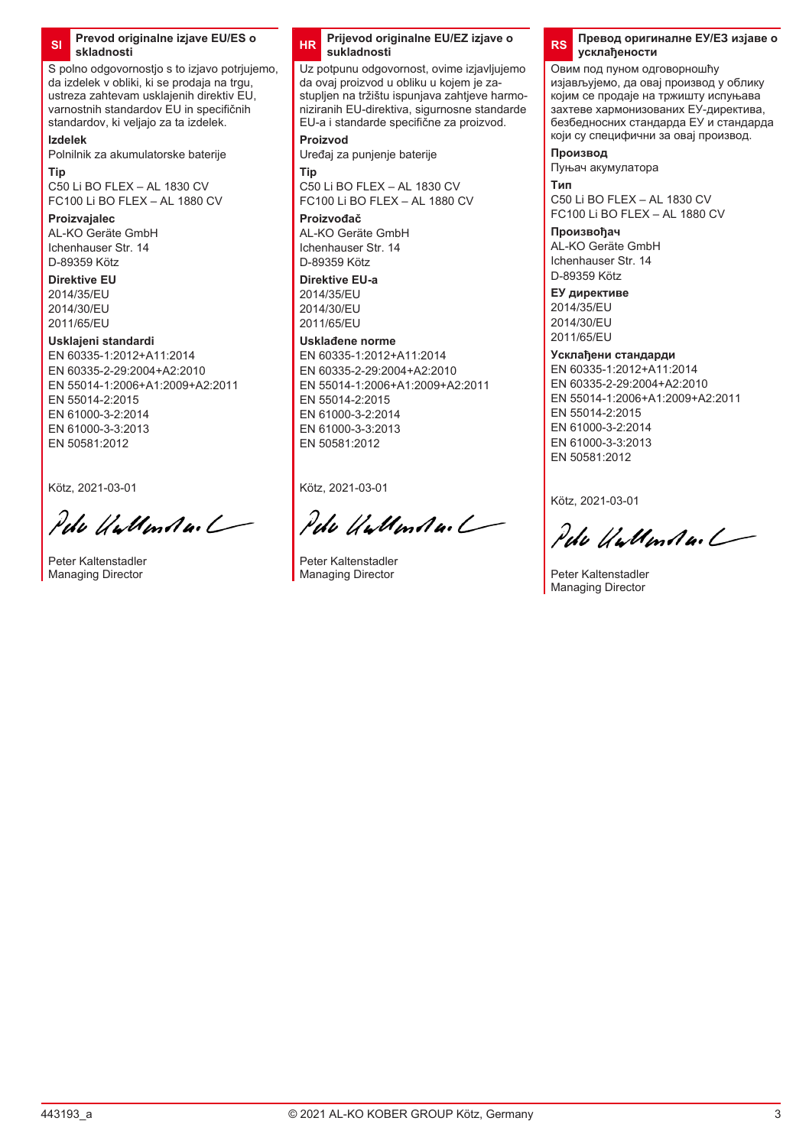#### **SI Prevod originalne izjave EU/ES o skladnosti**

S polno odgovornostjo s to izjavo potrjujemo, da izdelek v obliki, ki se prodaja na trgu, ustreza zahtevam usklajenih direktiv EU, varnostnih standardov EU in specifičnih standardov, ki veljajo za ta izdelek.

#### **Izdelek**

Polnilnik za akumulatorske baterije **Tip**

C50 Li BO FLEX – AL 1830 CV FC100 Li BO FLEX – AL 1880 CV

# **Proizvajalec**

AL-KO Geräte GmbH Ichenhauser Str. 14 D-89359 Kötz

#### **Direktive EU**

2014/35/EU 2014/30/EU 2011/65/EU

# **Usklajeni standardi**

EN 60335-1:2012+A11:2014 EN 60335-2-29:2004+A2:2010 EN 55014-1:2006+A1:2009+A2:2011 EN 55014-2:2015 EN 61000-3-2:2014 EN 61000-3-3:2013 EN 50581:2012

Kötz, 2021-03-01

Pete UnMental

Peter Kaltenstadler Managing Director

#### **HR Prijevod originalne EU/EZ izjave o sukladnosti**

Uz potpunu odgovornost, ovime izjavljujemo da ovaj proizvod u obliku u kojem je zastupljen na tržištu ispunjava zahtjeve harmoniziranih EU-direktiva, sigurnosne standarde EU-a i standarde specifične za proizvod.

# **Proizvod**

Uređaj za punjenje baterije **Tip**

C50 Li BO FLEX – AL 1830 CV FC100 Li BO FLEX – AL 1880 CV

**Proizvođač** AL-KO Geräte GmbH Ichenhauser Str. 14 D-89359 Kötz

# **Direktive EU-a**

2014/35/EU 2014/30/EU 2011/65/EU

# **Usklađene norme**

EN 60335-1:2012+A11:2014 EN 60335-2-29:2004+A2:2010 EN 55014-1:2006+A1:2009+A2:2011 EN 55014-2:2015 EN 61000-3-2:2014 EN 61000-3-3:2013 EN 50581:2012

Kötz, 2021-03-01

Pelo UntenAn.

Peter Kaltenstadler Managing Director

#### **RS Превод оригиналне ЕУ/ЕЗ изјаве о усклађености**

Овим под пуном одговорношћу изјављујемо, да овај производ у облику којим се продаје на тржишту испуњава захтеве хармонизованих ЕУ-директива, безбедносних стандарда ЕУ и стандарда који су специфични за овај производ.

# **Производ**

Пуњач акумулатора

**Тип** C50 Li BO FLEX – AL 1830 CV FC100 Li BO FLEX – AL 1880 CV

# **Произвођач**

AL-KO Geräte GmbH Ichenhauser Str. 14 D-89359 Kötz

# **ЕУ директиве**

2014/35/EU 2014/30/EU 2011/65/EU

# **Усклађени стандарди**

EN 60335-1:2012+A11:2014 EN 60335-2-29:2004+A2:2010 EN 55014-1:2006+A1:2009+A2:2011 EN 55014-2:2015 EN 61000-3-2:2014 EN 61000-3-3:2013 EN 50581:2012

Pelo UnMental

Peter Kaltenstadler Managing Director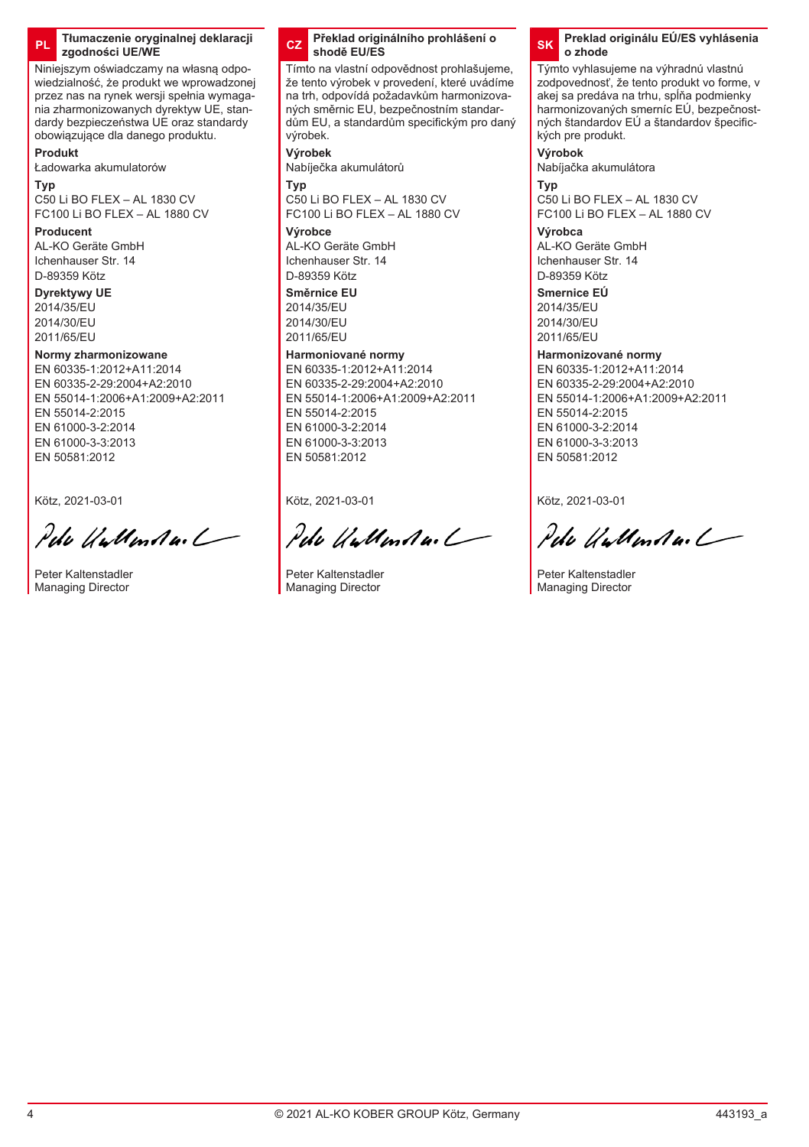# **PL Tłumaczenie oryginalnej deklaracji zgodności UE/WE**

Niniejszym oświadczamy na własną odpowiedzialność, że produkt we wprowadzonej przez nas na rynek wersji spełnia wymagania zharmonizowanych dyrektyw UE, standardy bezpieczeństwa UE oraz standardy obowiązujące dla danego produktu.

**Produkt**

Ładowarka akumulatorów

**Typ** C50 Li BO FLEX – AL 1830 CV FC100 Li BO FLEX – AL 1880 CV

# **Producent**

AL-KO Geräte GmbH Ichenhauser Str. 14 D-89359 Kötz

**Dyrektywy UE** 2014/35/EU 2014/30/EU 2011/65/EU

# **Normy zharmonizowane**

EN 60335-1:2012+A11:2014 EN 60335-2-29:2004+A2:2010 EN 55014-1:2006+A1:2009+A2:2011 EN 55014-2:2015 EN 61000-3-2:2014 EN 61000-3-3:2013 EN 50581:2012

Kötz, 2021-03-01

Pelo UnMenda. L

Peter Kaltenstadler Managing Director

#### **CZ Překlad originálního prohlášení o shodě EU/ES**

Tímto na vlastní odpovědnost prohlašujeme, že tento výrobek v provedení, které uvádíme na trh, odpovídá požadavkům harmonizovaných směrnic EU, bezpečnostním standardům EU, a standardům specifickým pro daný výrobek.

**Výrobek** Nabíječka akumulátorů

**Typ** C50 Li BO FLEX – AL 1830 CV FC100 Li BO FLEX – AL 1880 CV

**Výrobce** AL-KO Geräte GmbH Ichenhauser Str. 14 D-89359 Kötz

**Směrnice EU** 2014/35/EU 2014/30/EU 2011/65/EU

# **Harmoniované normy**

EN 60335-1:2012+A11:2014 EN 60335-2-29:2004+A2:2010 EN 55014-1:2006+A1:2009+A2:2011 EN 55014-2:2015 EN 61000-3-2:2014 EN 61000-3-3:2013 EN 50581:2012

Kötz, 2021-03-01

Pelo UnUman

Peter Kaltenstadler Managing Director

# **SK Preklad originálu EÚ/ES vyhlásenia o zhode**

Týmto vyhlasujeme na výhradnú vlastnú zodpovednosť, že tento produkt vo forme, v akej sa predáva na trhu, spĺňa podmienky harmonizovaných smerníc EÚ, bezpečnostných štandardov EÚ a štandardov špecifických pre produkt.

**Výrobok** Nabíjačka akumulátora

**Typ** C50 Li BO FLEX – AL 1830 CV FC100 Li BO FLEX – AL 1880 CV

**Výrobca** AL-KO Geräte GmbH Ichenhauser Str. 14 D-89359 Kötz

# **Smernice EÚ**

2014/35/EU 2014/30/EU 2011/65/EU

# **Harmonizované normy**

EN 60335-1:2012+A11:2014 EN 60335-2-29:2004+A2:2010 EN 55014-1:2006+A1:2009+A2:2011 EN 55014-2:2015 EN 61000-3-2:2014 EN 61000-3-3:2013 EN 50581:2012

Pela Wallanda. L

Peter Kaltenstadler Managing Director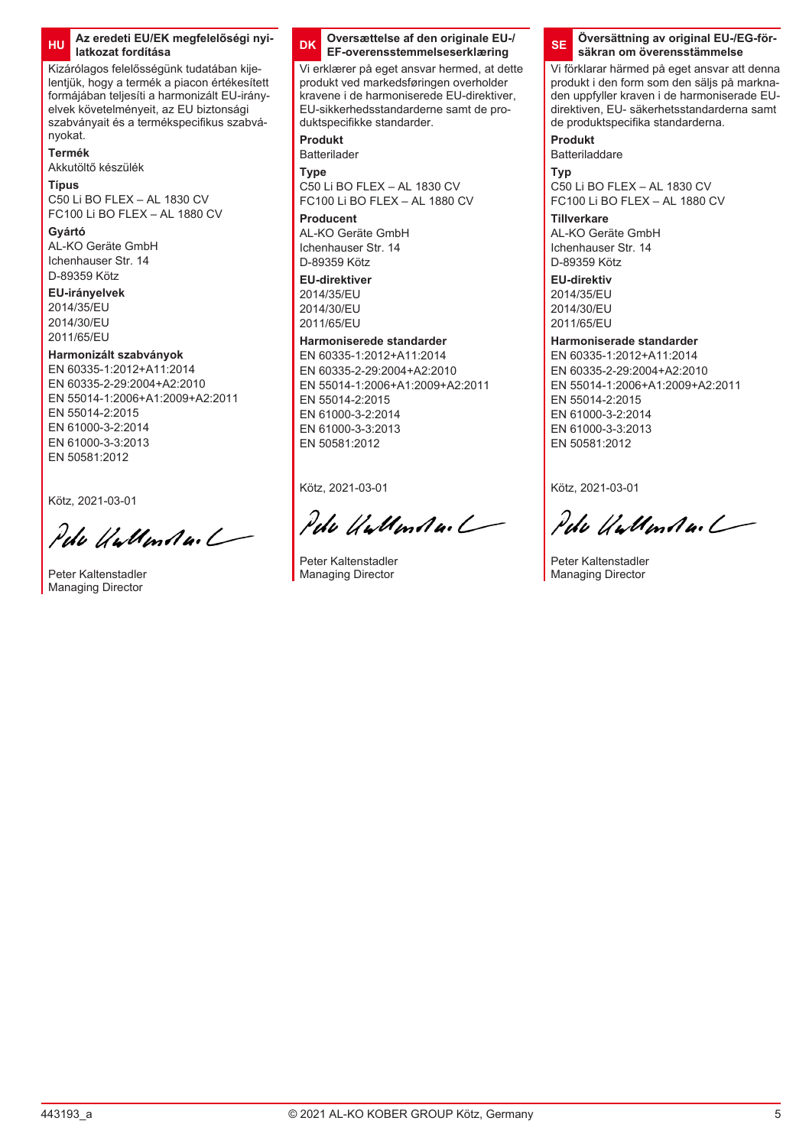# **HU Az eredeti EU/EK megfelelőségi nyilatkozat fordítása**

Kizárólagos felelősségünk tudatában kijelentjük, hogy a termék a piacon értékesített formájában teljesíti a harmonizált EU-irányelvek követelményeit, az EU biztonsági szabványait és a termékspecifikus szabványokat.

**Termék**

Akkutöltő készülék

**Típus** C50 Li BO FLEX – AL 1830 CV FC100 Li BO FLEX – AL 1880 CV

#### **Gyártó**

AL-KO Geräte GmbH Ichenhauser Str. 14 D-89359 Kötz

#### **EU-irányelvek**

2014/35/EU 2014/30/EU 2011/65/EU

# **Harmonizált szabványok**

EN 60335-1:2012+A11:2014 EN 60335-2-29:2004+A2:2010 EN 55014-1:2006+A1:2009+A2:2011 EN 55014-2:2015 EN 61000-3-2:2014 EN 61000-3-3:2013 EN 50581:2012

Kötz, 2021-03-01

Pelo UnMental

Peter Kaltenstadler Managing Director

#### **DK Oversættelse af den originale EU-/ EF-overensstemmelseserklæring**

Vi erklærer på eget ansvar hermed, at dette produkt ved markedsføringen overholder kravene i de harmoniserede EU-direktiver, EU-sikkerhedsstandarderne samt de produktspecifikke standarder.

#### **Produkt**

Batterilader

**Type** C50 Li BO FLEX – AL 1830 CV FC100 Li BO FLEX – AL 1880 CV

**Producent** AL-KO Geräte GmbH Ichenhauser Str. 14 D-89359 Kötz

# **EU-direktiver**

2014/35/EU 2014/30/EU 2011/65/EU

# **Harmoniserede standarder**

EN 60335-1:2012+A11:2014 EN 60335-2-29:2004+A2:2010 EN 55014-1:2006+A1:2009+A2:2011 EN 55014-2:2015 EN 61000-3-2:2014 EN 61000-3-3:2013 EN 50581:2012

Kötz, 2021-03-01

Pelo Untenda.

Peter Kaltenstadler Managing Director

#### **SE Översättning av original EU-/EG-försäkran om överensstämmelse**

Vi förklarar härmed på eget ansvar att denna produkt i den form som den säljs på marknaden uppfyller kraven i de harmoniserade EUdirektiven, EU- säkerhetsstandarderna samt de produktspecifika standarderna.

#### **Produkt**

Batteriladdare

**Typ** C50 Li BO FLEX – AL 1830 CV FC100 Li BO FLEX – AL 1880 CV

**Tillverkare** AL-KO Geräte GmbH Ichenhauser Str. 14 D-89359 Kötz

**EU-direktiv** 2014/35/EU 2014/30/EU 2011/65/EU

# **Harmoniserade standarder**

EN 60335-1:2012+A11:2014 EN 60335-2-29:2004+A2:2010 EN 55014-1:2006+A1:2009+A2:2011 EN 55014-2:2015 EN 61000-3-2:2014 EN 61000-3-3:2013 EN 50581:2012

Pete UntenAu.

Peter Kaltenstadler Managing Director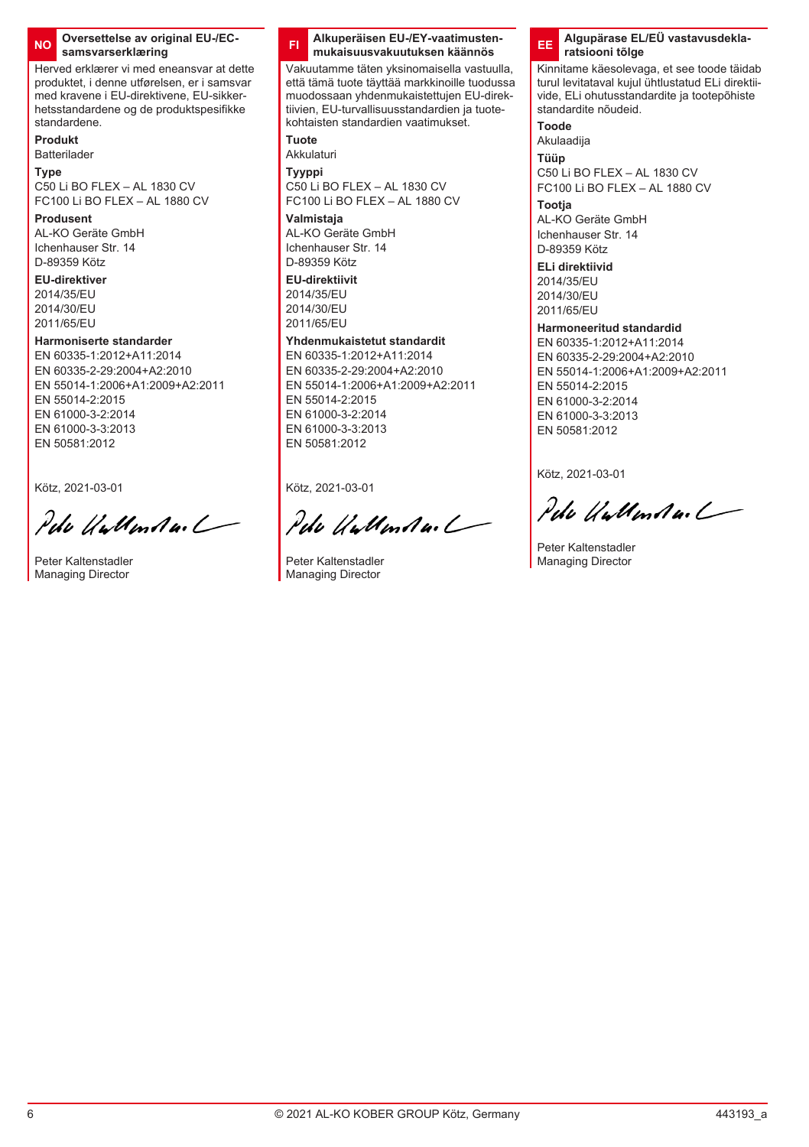#### **NO Oversettelse av original EU-/ECsamsvarserklæring**

Herved erklærer vi med eneansvar at dette produktet, i denne utførelsen, er i samsvar med kravene i EU-direktivene, EU-sikkerhetsstandardene og de produktspesifikke standardene.

#### **Produkt**

Batterilader

**Type** C50 Li BO FLEX – AL 1830 CV FC100 Li BO FLEX – AL 1880 CV

#### **Produsent**

AL-KO Geräte GmbH Ichenhauser Str. 14 D-89359 Kötz

#### **EU-direktiver** 2014/35/EU

2014/30/EU 2011/65/EU

# **Harmoniserte standarder**

EN 60335-1:2012+A11:2014 EN 60335-2-29:2004+A2:2010 EN 55014-1:2006+A1:2009+A2:2011 EN 55014-2:2015 EN 61000-3-2:2014 EN 61000-3-3:2013 EN 50581:2012

Kötz, 2021-03-01

Pete UnMental

Peter Kaltenstadler Managing Director

#### **FI Alkuperäisen EU-/EY-vaatimustenmukaisuusvakuutuksen käännös**

Vakuutamme täten yksinomaisella vastuulla, että tämä tuote täyttää markkinoille tuodussa muodossaan yhdenmukaistettujen EU-direktiivien, EU-turvallisuusstandardien ja tuotekohtaisten standardien vaatimukset.

#### **Tuote**

Akkulaturi **Tyyppi** C50 Li BO FLEX – AL 1830 CV FC100 Li BO FLEX – AL 1880 CV

# **Valmistaja**

AL-KO Geräte GmbH Ichenhauser Str. 14 D-89359 Kötz

# **EU-direktiivit**

2014/35/EU 2014/30/EU 2011/65/EU

# **Yhdenmukaistetut standardit**

EN 60335-1:2012+A11:2014 EN 60335-2-29:2004+A2:2010 EN 55014-1:2006+A1:2009+A2:2011 EN 55014-2:2015 EN 61000-3-2:2014 EN 61000-3-3:2013 EN 50581:2012

Kötz, 2021-03-01

Pelo UntenAn.

Peter Kaltenstadler Managing Director

# **EE Algupärase EL/EÜ vastavusdeklaratsiooni tõlge**

Kinnitame käesolevaga, et see toode täidab turul levitataval kujul ühtlustatud ELi direktiivide, ELi ohutusstandardite ja tootepõhiste standardite nõudeid.

**Toode**

Akulaadija

**Tüüp** C50 Li BO FLEX – AL 1830 CV FC100 Li BO FLEX – AL 1880 CV

# **Tootja**

AL-KO Geräte GmbH Ichenhauser Str. 14 D-89359 Kötz

# **ELi direktiivid**

2014/35/EU 2014/30/EU 2011/65/EU

# **Harmoneeritud standardid**

EN 60335-1:2012+A11:2014 EN 60335-2-29:2004+A2:2010 EN 55014-1:2006+A1:2009+A2:2011 EN 55014-2:2015 EN 61000-3-2:2014 EN 61000-3-3:2013 EN 50581:2012

Pelo UnMenda. L

Peter Kaltenstadler Managing Director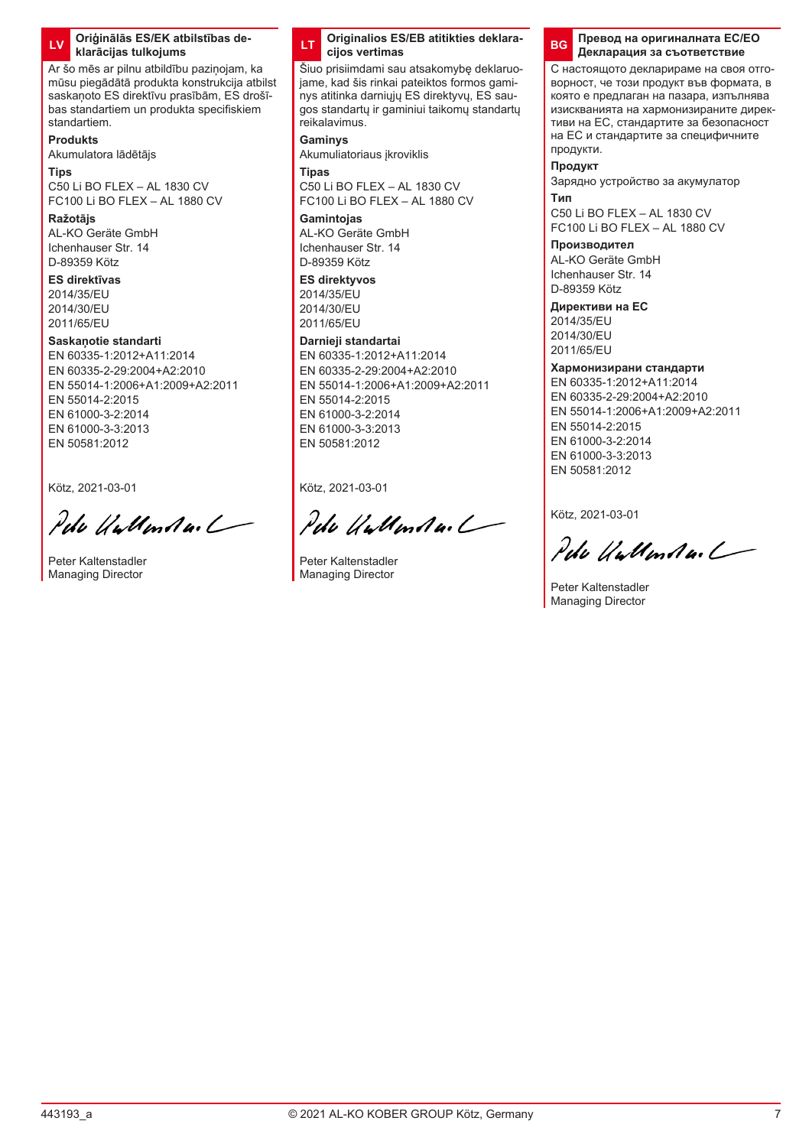# **LV Oriģinālās ES/EK atbilstības deklarācijas tulkojums**

Ar šo mēs ar pilnu atbildību paziņojam, ka mūsu piegādātā produkta konstrukcija atbilst saskaņoto ES direktīvu prasībām, ES drošības standartiem un produkta specifiskiem standartiem.

#### **Produkts**

Akumulatora lādētājs

**Tips**

C50 Li BO FLEX – AL 1830 CV FC100 Li BO FLEX – AL 1880 CV

#### **Ražotājs**

AL-KO Geräte GmbH Ichenhauser Str. 14 D-89359 Kötz

# **ES direktīvas**

2014/35/EU 2014/30/EU 2011/65/EU

# **Saskaņotie standarti**

EN 60335-1:2012+A11:2014 EN 60335-2-29:2004+A2:2010 EN 55014-1:2006+A1:2009+A2:2011 EN 55014-2:2015 EN 61000-3-2:2014 EN 61000-3-3:2013 EN 50581:2012

Kötz, 2021-03-01

Pete UnMental

Peter Kaltenstadler Managing Director



Šiuo prisiimdami sau atsakomybę deklaruojame, kad šis rinkai pateiktos formos gaminys atitinka darniųjų ES direktyvų, ES saugos standartų ir gaminiui taikomų standartų reikalavimus.

#### **Gaminys**

Akumuliatoriaus įkroviklis

**Tipas** C50 Li BO FLEX – AL 1830 CV FC100 Li BO FLEX – AL 1880 CV

**Gamintojas** AL-KO Geräte GmbH Ichenhauser Str. 14 D-89359 Kötz

# **ES direktyvos**

2014/35/EU 2014/30/EU 2011/65/EU

# **Darnieji standartai**

EN 60335-1:2012+A11:2014 EN 60335-2-29:2004+A2:2010 EN 55014-1:2006+A1:2009+A2:2011 EN 55014-2:2015 EN 61000-3-2:2014 EN 61000-3-3:2013 EN 50581:2012

Kötz, 2021-03-01

Pelo UntenAnd

Peter Kaltenstadler Managing Director

#### **BG Превод на оригиналната EC/ЕО Декларация за съответствие**

С настоящото декларираме на своя отговорност, че този продукт във формата, в която е предлаган на пазара, изпълнява изискванията на хармонизираните директиви на ЕС, стандартите за безопасност на ЕС и стандартите за специфичните продукти.

#### **Продукт**

Зарядно устройство за акумулатор **Тип**

C50 Li BO FLEX – AL 1830 CV FC100 Li BO FLEX – AL 1880 CV

# **Производител**

AL-KO Geräte GmbH Ichenhauser Str. 14 D-89359 Kötz

# **Директиви на ЕС**

2014/35/EU 2014/30/EU 2011/65/EU

# **Хармонизирани стандарти**

EN 60335-1:2012+A11:2014 EN 60335-2-29:2004+A2:2010 EN 55014-1:2006+A1:2009+A2:2011 EN 55014-2:2015 EN 61000-3-2:2014 EN 61000-3-3:2013 EN 50581:2012

Pete UnMenda, L

Peter Kaltenstadler Managing Director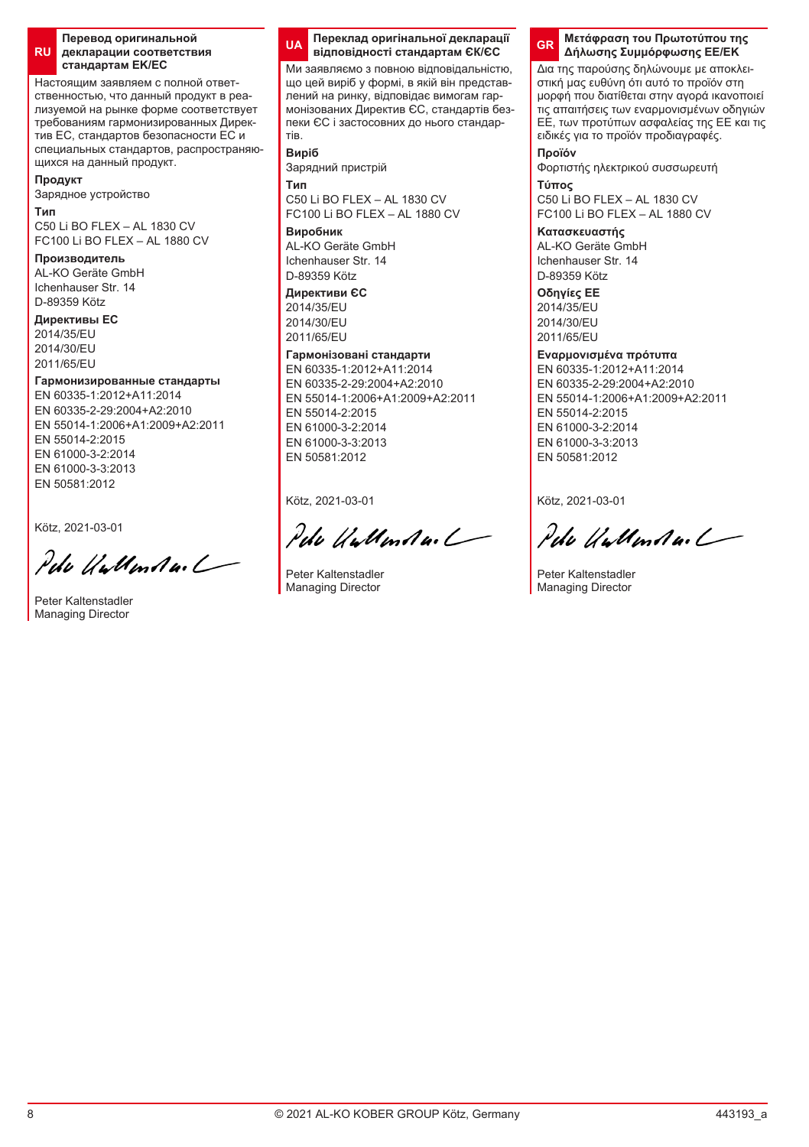#### **RU декларации соответствия Перевод оригинальной стандартам EK/ЕС**

Настоящим заявляем с полной ответственностью, что данный продукт в реализуемой на рынке форме соответствует требованиям гармонизированных Директив ЕС, стандартов безопасности ЕС и специальных стандартов, распространяющихся на данный продукт.

**Продукт**

Зарядное устройство

#### **Тип**

C50 Li BO FLEX – AL 1830 CV FC100 Li BO FLEX – AL 1880 CV

# **Производитель**

AL-KO Geräte GmbH Ichenhauser Str. 14 D-89359 Kötz

# **Директивы ЕС**

2014/35/EU 2014/30/EU 2011/65/EU

# **Гармонизированные стандарты**

EN 60335-1:2012+A11:2014 EN 60335-2-29:2004+A2:2010 EN 55014-1:2006+A1:2009+A2:2011 EN 55014-2:2015 EN 61000-3-2:2014 EN 61000-3-3:2013 EN 50581:2012

Kötz, 2021-03-01

Pelo UnMenda L

Peter Kaltenstadler Managing Director



Ми заявляємо з повною відповідальністю, що цей виріб у формі, в якій він представлений на ринку, відповідає вимогам гармонізованих Директив ЄС, стандартів безпеки ЄС і застосовних до нього стандартів.

**Виріб** Зарядний пристрій **Тип**

C50 Li BO FLEX – AL 1830 CV FC100 Li BO FLEX – AL 1880 CV

**Виробник** AL-KO Geräte GmbH Ichenhauser Str. 14 D-89359 Kötz

**Директиви ЄС** ...<br>2014/35/EU 2014/30/EU 2011/65/EU

# **Гармонізовані стандарти**

EN 60335-1:2012+A11:2014 EN 60335-2-29:2004+A2:2010 EN 55014-1:2006+A1:2009+A2:2011 EN 55014-2:2015 EN 61000-3-2:2014 EN 61000-3-3:2013 EN 50581:2012

Kötz, 2021-03-01

Pelo UnMental

Peter Kaltenstadler Managing Director

# **GR Μετάφραση του Πρωτοτύπου της Δήλωσης Συμμόρφωσης EE/ΕΚ**

Δια της παρούσης δηλώνουμε με αποκλειστική μας ευθύνη ότι αυτό το προϊόν στη μορφή που διατίθεται στην αγορά ικανοποιεί τις απαιτήσεις των εναρμονισμένων οδηγιών ΕΕ, των προτύπων ασφαλείας της ΕΕ και τις ειδικές για το προϊόν προδιαγραφές.

**Προϊόν**

Φορτιστής ηλεκτρικού συσσωρευτή **Τύπος**

C50 Li BO FLEX – AL 1830 CV FC100 Li BO FLEX – AL 1880 CV

**Κατασκευαστής** AL-KO Geräte GmbH

Ichenhauser Str. 14 D-89359 Kötz

# **Οδηγίες ΕΕ**

2014/35/EU 2014/30/EU 2011/65/EU

# **Εναρμονισμένα πρότυπα**

EN 60335-1:2012+A11:2014 EN 60335-2-29:2004+A2:2010 EN 55014-1:2006+A1:2009+A2:2011 EN 55014-2:2015 EN 61000-3-2:2014 EN 61000-3-3:2013 EN 50581:2012

Pete UnMenda. L

Peter Kaltenstadler Managing Director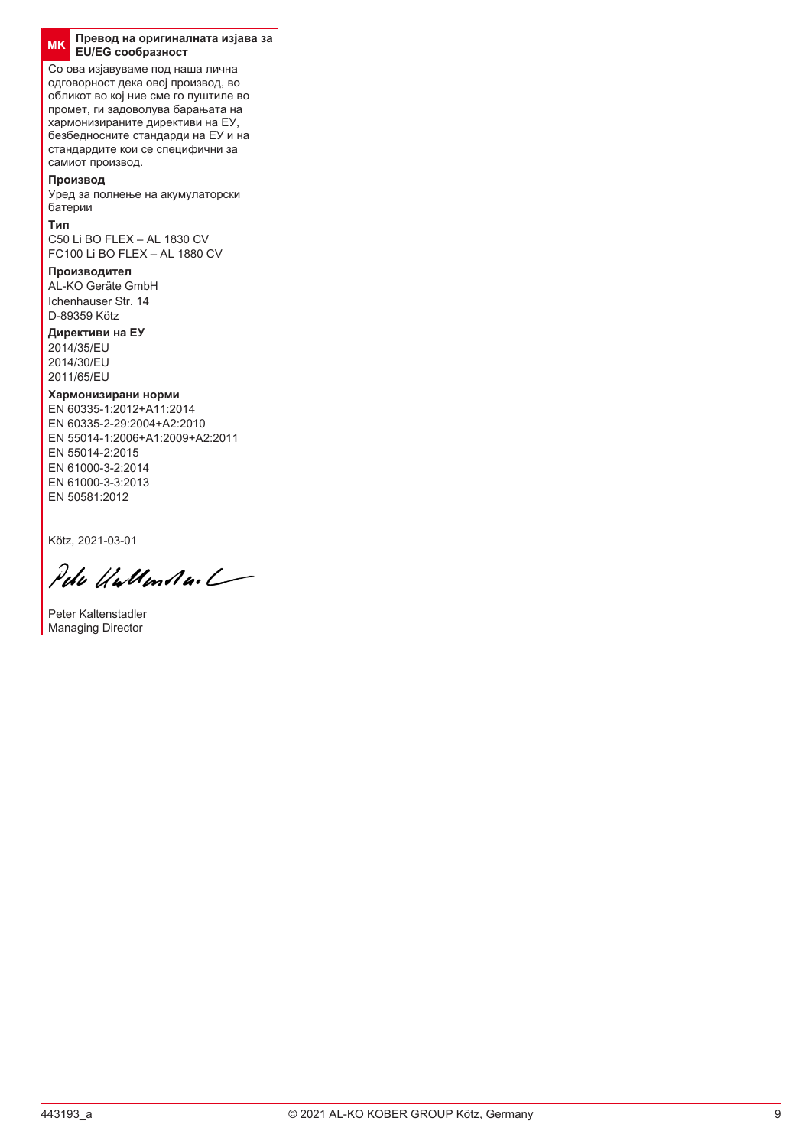# **MK Превод на оригиналната изјава за EU/EG сообразност**

Со ова изјавуваме под наша лична одговорност дека овој производ, во обликот во кој ние сме го пуштиле во промет, ги задоволува барањата на хармонизираните директиви на ЕУ, безбедносните стандарди на ЕУ и на стандардите кои се специфични за самиот производ.

# **Производ**

Уред за полнење на акумулаторски батерии

#### **Тип**

C50 Li BO FLEX – AL 1830 CV FC100 Li BO FLEX – AL 1880 CV

# **Производител**

AL-KO Geräte GmbH Ichenhauser Str. 14 D-89359 Kötz

# **Директиви на ЕУ**

2014/35/EU 2014/30/EU 2011/65/EU

# **Хармонизирани норми**

EN 60335-1:2012+A11:2014 EN 60335-2-29:2004+A2:2010 EN 55014-1:2006+A1:2009+A2:2011 EN 55014-2:2015 EN 61000-3-2:2014 EN 61000-3-3:2013 EN 50581:2012

Pelo UnMenta. L

Peter Kaltenstadler Managing Director